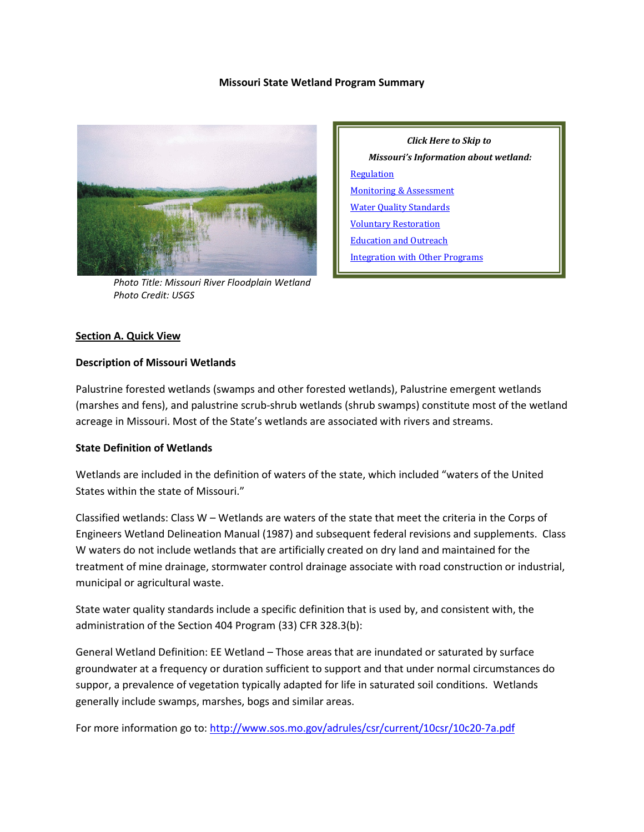### **Missouri State Wetland Program Summary**



*Photo Title: Missouri River Floodplain Wetland Photo Credit: USGS*

*Click Here to Skip to Missouri's Information about wetland:* **[Regulation](#page-2-0)** [Monitoring & Assessment](#page-4-0) [Water Quality Standards](#page-5-0) [Voluntary Restoration](#page-6-0) [Education and Outreach](#page-8-0) [Integration with Other Programs](#page-8-1)

# **Section A. Quick View**

#### **Description of Missouri Wetlands**

Palustrine forested wetlands (swamps and other forested wetlands), Palustrine emergent wetlands (marshes and fens), and palustrine scrub-shrub wetlands (shrub swamps) constitute most of the wetland acreage in Missouri. Most of the State's wetlands are associated with rivers and streams.

#### **State Definition of Wetlands**

Wetlands are included in the definition of waters of the state, which included "waters of the United States within the state of Missouri."

Classified wetlands: Class W – Wetlands are waters of the state that meet the criteria in the Corps of Engineers Wetland Delineation Manual (1987) and subsequent federal revisions and supplements. Class W waters do not include wetlands that are artificially created on dry land and maintained for the treatment of mine drainage, stormwater control drainage associate with road construction or industrial, municipal or agricultural waste.

State water quality standards include a specific definition that is used by, and consistent with, the administration of the Section 404 Program (33) CFR 328.3(b):

General Wetland Definition: EE Wetland – Those areas that are inundated or saturated by surface groundwater at a frequency or duration sufficient to support and that under normal circumstances do suppor, a prevalence of vegetation typically adapted for life in saturated soil conditions. Wetlands generally include swamps, marshes, bogs and similar areas.

For more information go to[: http://www.sos.mo.gov/adrules/csr/current/10csr/10c20-7a.pdf](http://www.sos.mo.gov/adrules/csr/current/10csr/10c20-7a.pdf)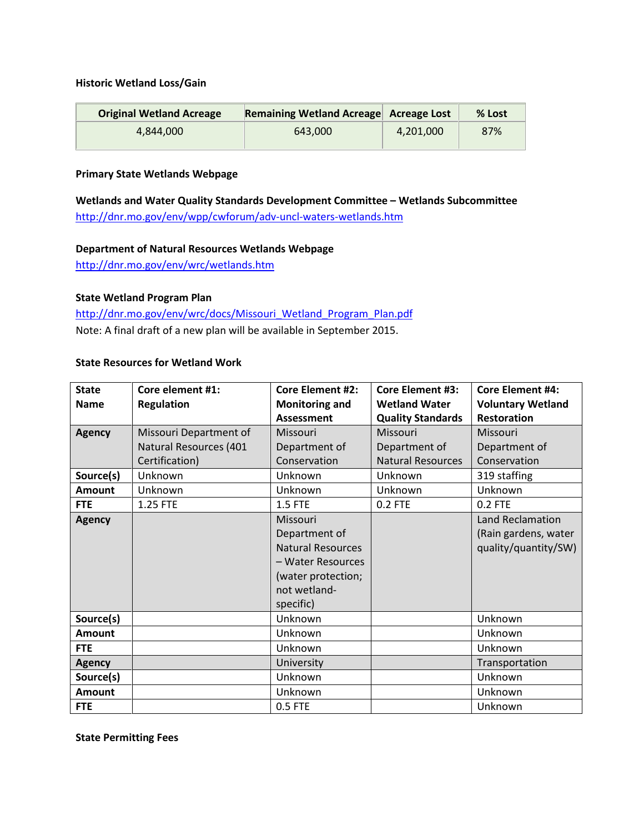### **Historic Wetland Loss/Gain**

| <b>Original Wetland Acreage</b> | Remaining Wetland Acreage Acreage Lost |           | % Lost |
|---------------------------------|----------------------------------------|-----------|--------|
| 4.844.000                       | 643.000                                | 4,201,000 | 87%    |

# **Primary State Wetlands Webpage**

**Wetlands and Water Quality Standards Development Committee – Wetlands Subcommittee** <http://dnr.mo.gov/env/wpp/cwforum/adv-uncl-waters-wetlands.htm>

#### **Department of Natural Resources Wetlands Webpage**

<http://dnr.mo.gov/env/wrc/wetlands.htm>

# **State Wetland Program Plan**

[http://dnr.mo.gov/env/wrc/docs/Missouri\\_Wetland\\_Program\\_Plan.pdf](http://dnr.mo.gov/env/wrc/docs/Missouri_Wetland_Program_Plan.pdf) Note: A final draft of a new plan will be available in September 2015.

### **State Resources for Wetland Work**

| <b>State</b>  | Core element #1:       | <b>Core Element #2:</b>                                                                                                       | <b>Core Element #3:</b>  | <b>Core Element #4:</b>                                          |
|---------------|------------------------|-------------------------------------------------------------------------------------------------------------------------------|--------------------------|------------------------------------------------------------------|
| <b>Name</b>   | <b>Regulation</b>      | <b>Monitoring and</b>                                                                                                         | <b>Wetland Water</b>     | <b>Voluntary Wetland</b>                                         |
|               |                        | <b>Assessment</b>                                                                                                             | <b>Quality Standards</b> | <b>Restoration</b>                                               |
| <b>Agency</b> | Missouri Department of | Missouri                                                                                                                      | Missouri                 | Missouri                                                         |
|               | Natural Resources (401 | Department of                                                                                                                 | Department of            | Department of                                                    |
|               | Certification)         | Conservation                                                                                                                  | <b>Natural Resources</b> | Conservation                                                     |
| Source(s)     | Unknown                | Unknown                                                                                                                       | Unknown                  | 319 staffing                                                     |
| <b>Amount</b> | Unknown                | Unknown                                                                                                                       | Unknown                  | Unknown                                                          |
| <b>FTE</b>    | 1.25 FTE               | 1.5 FTE                                                                                                                       | 0.2 FTE                  | 0.2 FTE                                                          |
| <b>Agency</b> |                        | Missouri<br>Department of<br><b>Natural Resources</b><br>- Water Resources<br>(water protection;<br>not wetland-<br>specific) |                          | Land Reclamation<br>(Rain gardens, water<br>quality/quantity/SW) |
| Source(s)     |                        | Unknown                                                                                                                       |                          | Unknown                                                          |
| <b>Amount</b> |                        | Unknown                                                                                                                       |                          | Unknown                                                          |
| <b>FTE</b>    |                        | Unknown                                                                                                                       |                          | Unknown                                                          |
| <b>Agency</b> |                        | University                                                                                                                    |                          | Transportation                                                   |
| Source(s)     |                        | Unknown                                                                                                                       |                          | Unknown                                                          |
| <b>Amount</b> |                        | Unknown                                                                                                                       |                          | Unknown                                                          |
| <b>FTE</b>    |                        | 0.5 FTE                                                                                                                       |                          | Unknown                                                          |

**State Permitting Fees**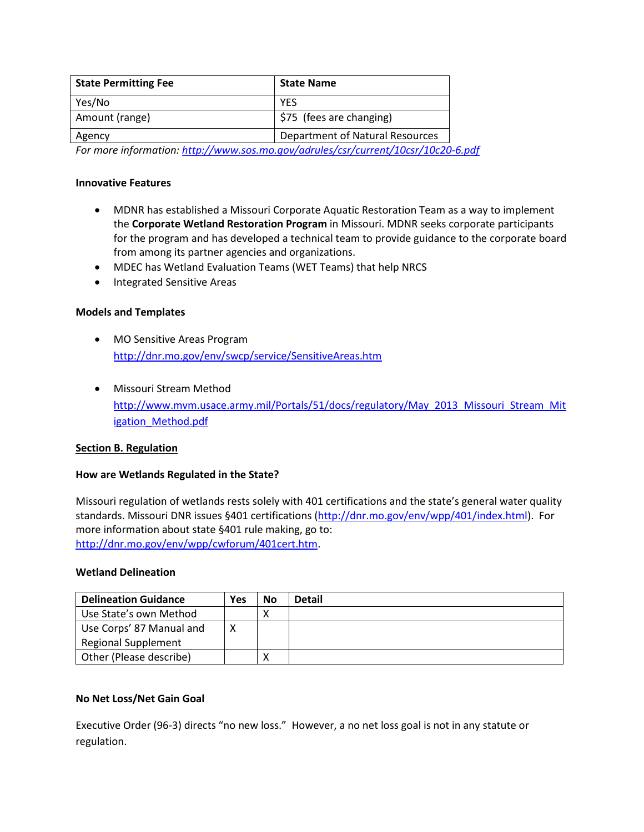| <b>State Name</b>               |
|---------------------------------|
| <b>YFS</b>                      |
| \$75 (fees are changing)        |
| Department of Natural Resources |
|                                 |

*For more information:<http://www.sos.mo.gov/adrules/csr/current/10csr/10c20-6.pdf>*

#### **Innovative Features**

- MDNR has established a Missouri Corporate Aquatic Restoration Team as a way to implement the **Corporate Wetland Restoration Program** in Missouri. MDNR seeks corporate participants for the program and has developed a technical team to provide guidance to the corporate board from among its partner agencies and organizations.
- MDEC has Wetland Evaluation Teams (WET Teams) that help NRCS
- Integrated Sensitive Areas

# **Models and Templates**

- MO Sensitive Areas Program <http://dnr.mo.gov/env/swcp/service/SensitiveAreas.htm>
- Missouri Stream Method [http://www.mvm.usace.army.mil/Portals/51/docs/regulatory/May\\_2013\\_Missouri\\_Stream\\_Mit](http://www.mvm.usace.army.mil/Portals/51/docs/regulatory/May_2013_Missouri_Stream_Mitigation_Method.pdf) [igation\\_Method.pdf](http://www.mvm.usace.army.mil/Portals/51/docs/regulatory/May_2013_Missouri_Stream_Mitigation_Method.pdf)

# <span id="page-2-0"></span>**Section B. Regulation**

#### **How are Wetlands Regulated in the State?**

Missouri regulation of wetlands rests solely with 401 certifications and the state's general water quality standards. Missouri DNR issues §401 certifications [\(http://dnr.mo.gov/env/wpp/401/index.html\)](http://dnr.mo.gov/env/wpp/401/index.html). For more information about state §401 rule making, go to: [http://dnr.mo.gov/env/wpp/cwforum/401cert.htm.](http://dnr.mo.gov/env/wpp/cwforum/401cert.htm)

#### **Wetland Delineation**

| <b>Delineation Guidance</b> | Yes | <b>No</b> | <b>Detail</b> |
|-----------------------------|-----|-----------|---------------|
| Use State's own Method      |     |           |               |
| Use Corps' 87 Manual and    | ⋏   |           |               |
| <b>Regional Supplement</b>  |     |           |               |
| Other (Please describe)     |     |           |               |

#### **No Net Loss/Net Gain Goal**

Executive Order (96-3) directs "no new loss." However, a no net loss goal is not in any statute or regulation.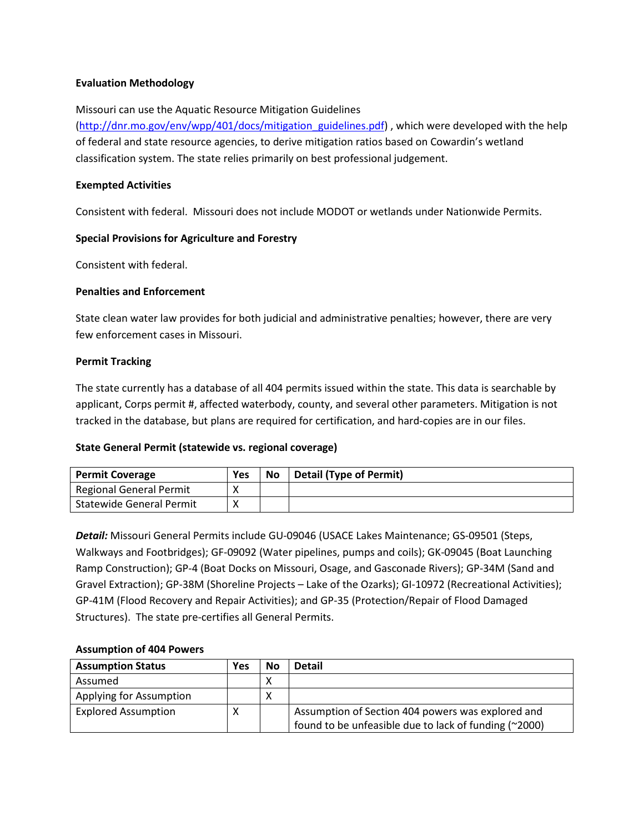# **Evaluation Methodology**

### Missouri can use the Aquatic Resource Mitigation Guidelines

[\(http://dnr.mo.gov/env/wpp/401/docs/mitigation\\_guidelines.pdf\)](http://dnr.mo.gov/env/wpp/401/docs/mitigation_guidelines.pdf) , which were developed with the help of federal and state resource agencies, to derive mitigation ratios based on Cowardin's wetland classification system. The state relies primarily on best professional judgement.

### **Exempted Activities**

Consistent with federal. Missouri does not include MODOT or wetlands under Nationwide Permits.

### **Special Provisions for Agriculture and Forestry**

Consistent with federal.

### **Penalties and Enforcement**

State clean water law provides for both judicial and administrative penalties; however, there are very few enforcement cases in Missouri.

### **Permit Tracking**

The state currently has a database of all 404 permits issued within the state. This data is searchable by applicant, Corps permit #, affected waterbody, county, and several other parameters. Mitigation is not tracked in the database, but plans are required for certification, and hard-copies are in our files.

# **State General Permit (statewide vs. regional coverage)**

| <b>Permit Coverage</b>          | Yes | <b>No</b> | <b>Detail (Type of Permit)</b> |
|---------------------------------|-----|-----------|--------------------------------|
| Regional General Permit         | Λ   |           |                                |
| <b>Statewide General Permit</b> |     |           |                                |

*Detail:* Missouri General Permits include GU-09046 (USACE Lakes Maintenance; GS-09501 (Steps, Walkways and Footbridges); GF-09092 (Water pipelines, pumps and coils); GK-09045 (Boat Launching Ramp Construction); GP-4 (Boat Docks on Missouri, Osage, and Gasconade Rivers); GP-34M (Sand and Gravel Extraction); GP-38M (Shoreline Projects – Lake of the Ozarks); GI-10972 (Recreational Activities); GP-41M (Flood Recovery and Repair Activities); and GP-35 (Protection/Repair of Flood Damaged Structures). The state pre-certifies all General Permits.

#### **Assumption of 404 Powers**

| <b>Assumption Status</b>   | <b>Yes</b> | No | <b>Detail</b>                                         |
|----------------------------|------------|----|-------------------------------------------------------|
| Assumed                    |            | ⋏  |                                                       |
| Applying for Assumption    |            | ⋀  |                                                       |
| <b>Explored Assumption</b> |            |    | Assumption of Section 404 powers was explored and     |
|                            |            |    | found to be unfeasible due to lack of funding (~2000) |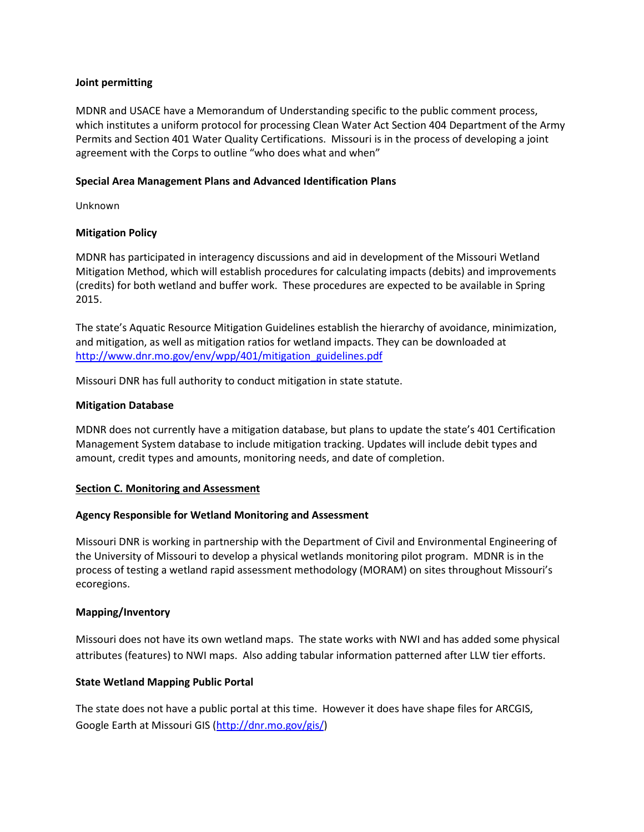### **Joint permitting**

MDNR and USACE have a Memorandum of Understanding specific to the public comment process, which institutes a uniform protocol for processing Clean Water Act Section 404 Department of the Army Permits and Section 401 Water Quality Certifications. Missouri is in the process of developing a joint agreement with the Corps to outline "who does what and when"

### **Special Area Management Plans and Advanced Identification Plans**

Unknown

# **Mitigation Policy**

MDNR has participated in interagency discussions and aid in development of the Missouri Wetland Mitigation Method, which will establish procedures for calculating impacts (debits) and improvements (credits) for both wetland and buffer work. These procedures are expected to be available in Spring 2015.

The state's Aquatic Resource Mitigation Guidelines establish the hierarchy of avoidance, minimization, and mitigation, as well as mitigation ratios for wetland impacts. They can be downloaded at [http://www.dnr.mo.gov/env/wpp/401/mitigation\\_guidelines.pdf](http://www.dnr.mo.gov/env/wpp/401/mitigation_guidelines.pdf)

Missouri DNR has full authority to conduct mitigation in state statute.

### **Mitigation Database**

MDNR does not currently have a mitigation database, but plans to update the state's 401 Certification Management System database to include mitigation tracking. Updates will include debit types and amount, credit types and amounts, monitoring needs, and date of completion.

#### <span id="page-4-0"></span>**Section C. Monitoring and Assessment**

# **Agency Responsible for Wetland Monitoring and Assessment**

Missouri DNR is working in partnership with the Department of Civil and Environmental Engineering of the University of Missouri to develop a physical wetlands monitoring pilot program. MDNR is in the process of testing a wetland rapid assessment methodology (MORAM) on sites throughout Missouri's ecoregions.

# **Mapping/Inventory**

Missouri does not have its own wetland maps. The state works with NWI and has added some physical attributes (features) to NWI maps. Also adding tabular information patterned after LLW tier efforts.

# **State Wetland Mapping Public Portal**

The state does not have a public portal at this time. However it does have shape files for ARCGIS, Google Earth at Missouri GIS [\(http://dnr.mo.gov/gis/\)](http://dnr.mo.gov/gis/)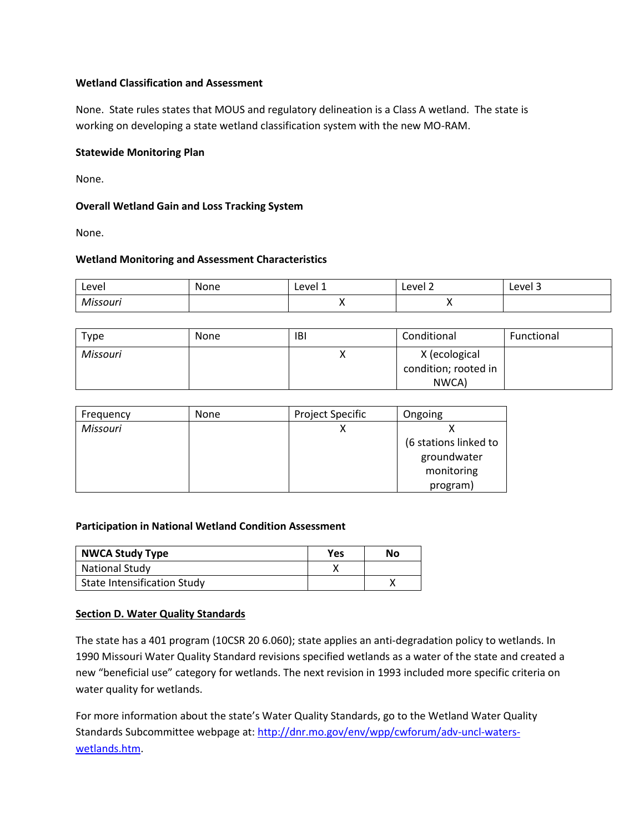# **Wetland Classification and Assessment**

None. State rules states that MOUS and regulatory delineation is a Class A wetland. The state is working on developing a state wetland classification system with the new MO-RAM.

# **Statewide Monitoring Plan**

None.

# **Overall Wetland Gain and Loss Tracking System**

None.

# **Wetland Monitoring and Assessment Characteristics**

| Level    | None | Level 1 | Level 2  | Level 3 |
|----------|------|---------|----------|---------|
| Missouri |      |         | $\cdots$ |         |

| Type     | <b>None</b> | <b>IBI</b> | Conditional                                    | Functional |
|----------|-------------|------------|------------------------------------------------|------------|
| Missouri |             |            | X (ecological<br>condition; rooted in<br>NWCA) |            |

| Frequency | <b>None</b> | Project Specific | Ongoing               |
|-----------|-------------|------------------|-----------------------|
| Missouri  |             | x                |                       |
|           |             |                  | (6 stations linked to |
|           |             |                  | groundwater           |
|           |             |                  | monitoring            |
|           |             |                  | program)              |

# **Participation in National Wetland Condition Assessment**

| <b>NWCA Study Type</b>             | <b>Yes</b> | No |
|------------------------------------|------------|----|
| <b>National Study</b>              |            |    |
| <b>State Intensification Study</b> |            |    |

# <span id="page-5-0"></span>**Section D. Water Quality Standards**

The state has a 401 program (10CSR 20 6.060); state applies an anti-degradation policy to wetlands. In 1990 Missouri Water Quality Standard revisions specified wetlands as a water of the state and created a new "beneficial use" category for wetlands. The next revision in 1993 included more specific criteria on water quality for wetlands.

For more information about the state's Water Quality Standards, go to the Wetland Water Quality Standards Subcommittee webpage at: [http://dnr.mo.gov/env/wpp/cwforum/adv-uncl-waters](http://dnr.mo.gov/env/wpp/cwforum/adv-uncl-waters-wetlands.htm)[wetlands.htm.](http://dnr.mo.gov/env/wpp/cwforum/adv-uncl-waters-wetlands.htm)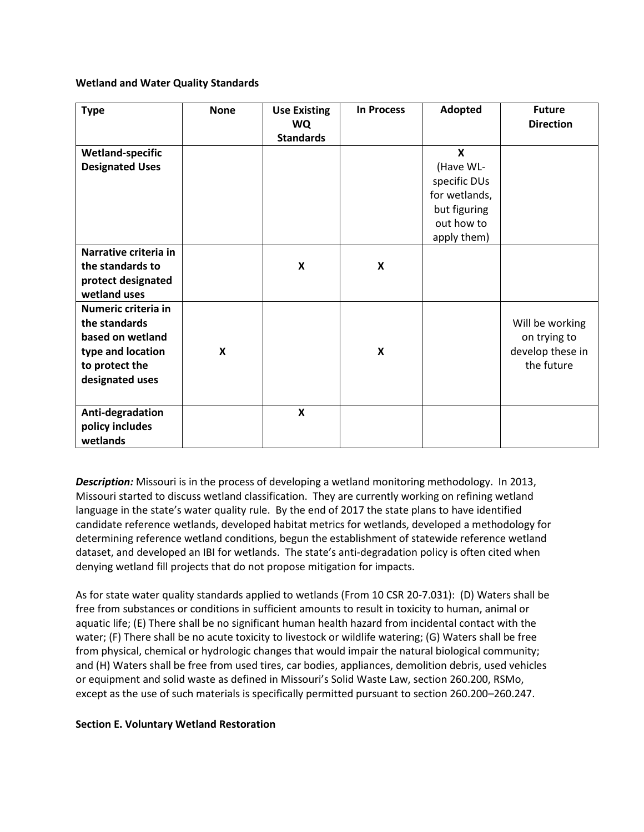### **Wetland and Water Quality Standards**

| <b>Type</b>                                                                                                        | <b>None</b> | <b>Use Existing</b><br><b>WQ</b><br><b>Standards</b> | <b>In Process</b>         | Adopted                                                                                               | <b>Future</b><br><b>Direction</b>                                 |
|--------------------------------------------------------------------------------------------------------------------|-------------|------------------------------------------------------|---------------------------|-------------------------------------------------------------------------------------------------------|-------------------------------------------------------------------|
| <b>Wetland-specific</b><br><b>Designated Uses</b>                                                                  |             |                                                      |                           | $\boldsymbol{\mathsf{x}}$<br>(Have WL-<br>specific DUs<br>for wetlands,<br>but figuring<br>out how to |                                                                   |
| Narrative criteria in<br>the standards to<br>protect designated<br>wetland uses                                    |             | $\pmb{\mathsf{X}}$                                   | X                         | apply them)                                                                                           |                                                                   |
| Numeric criteria in<br>the standards<br>based on wetland<br>type and location<br>to protect the<br>designated uses | X           |                                                      | $\boldsymbol{\mathsf{x}}$ |                                                                                                       | Will be working<br>on trying to<br>develop these in<br>the future |
| Anti-degradation<br>policy includes<br>wetlands                                                                    |             | $\boldsymbol{\mathsf{x}}$                            |                           |                                                                                                       |                                                                   |

*Description:* Missouri is in the process of developing a wetland monitoring methodology. In 2013, Missouri started to discuss wetland classification. They are currently working on refining wetland language in the state's water quality rule. By the end of 2017 the state plans to have identified candidate reference wetlands, developed habitat metrics for wetlands, developed a methodology for determining reference wetland conditions, begun the establishment of statewide reference wetland dataset, and developed an IBI for wetlands. The state's anti-degradation policy is often cited when denying wetland fill projects that do not propose mitigation for impacts.

As for state water quality standards applied to wetlands (From 10 CSR 20-7.031): (D) Waters shall be free from substances or conditions in sufficient amounts to result in toxicity to human, animal or aquatic life; (E) There shall be no significant human health hazard from incidental contact with the water; (F) There shall be no acute toxicity to livestock or wildlife watering; (G) Waters shall be free from physical, chemical or hydrologic changes that would impair the natural biological community; and (H) Waters shall be free from used tires, car bodies, appliances, demolition debris, used vehicles or equipment and solid waste as defined in Missouri's Solid Waste Law, section 260.200, RSMo, except as the use of such materials is specifically permitted pursuant to section 260.200–260.247.

# <span id="page-6-0"></span>**Section E. Voluntary Wetland Restoration**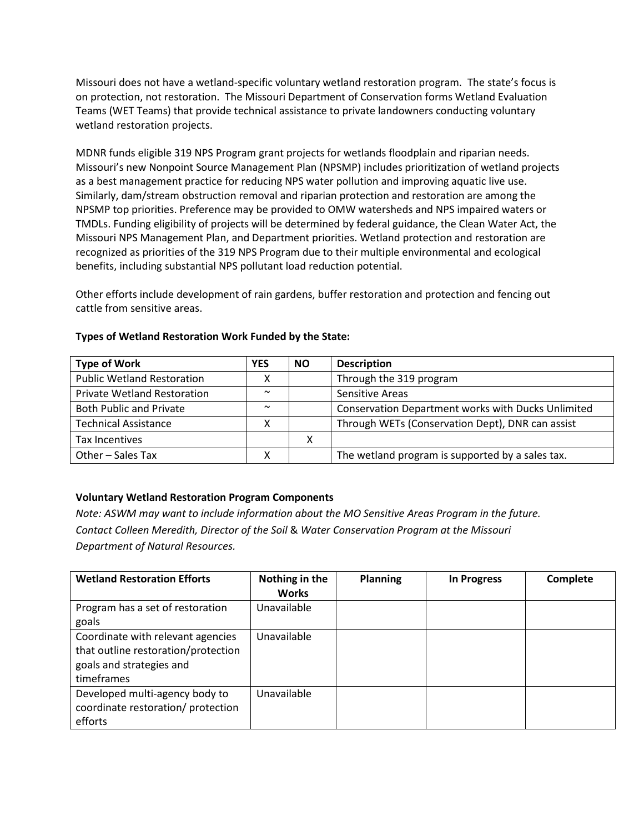Missouri does not have a wetland-specific voluntary wetland restoration program. The state's focus is on protection, not restoration. The Missouri Department of Conservation forms Wetland Evaluation Teams (WET Teams) that provide technical assistance to private landowners conducting voluntary wetland restoration projects.

MDNR funds eligible 319 NPS Program grant projects for wetlands floodplain and riparian needs. Missouri's new Nonpoint Source Management Plan (NPSMP) includes prioritization of wetland projects as a best management practice for reducing NPS water pollution and improving aquatic live use. Similarly, dam/stream obstruction removal and riparian protection and restoration are among the NPSMP top priorities. Preference may be provided to OMW watersheds and NPS impaired waters or TMDLs. Funding eligibility of projects will be determined by federal guidance, the Clean Water Act, the Missouri NPS Management Plan, and Department priorities. Wetland protection and restoration are recognized as priorities of the 319 NPS Program due to their multiple environmental and ecological benefits, including substantial NPS pollutant load reduction potential.

Other efforts include development of rain gardens, buffer restoration and protection and fencing out cattle from sensitive areas.

| <b>Type of Work</b>                | <b>YES</b> | <b>NO</b> | <b>Description</b>                                 |
|------------------------------------|------------|-----------|----------------------------------------------------|
| <b>Public Wetland Restoration</b>  |            |           | Through the 319 program                            |
| <b>Private Wetland Restoration</b> | $\sim$     |           | Sensitive Areas                                    |
| <b>Both Public and Private</b>     | $\sim$     |           | Conservation Department works with Ducks Unlimited |
| <b>Technical Assistance</b>        |            |           | Through WETs (Conservation Dept), DNR can assist   |
| Tax Incentives                     |            | x         |                                                    |
| Other - Sales Tax                  |            |           | The wetland program is supported by a sales tax.   |

# **Types of Wetland Restoration Work Funded by the State:**

# **Voluntary Wetland Restoration Program Components**

*Note: ASWM may want to include information about the MO Sensitive Areas Program in the future. Contact Colleen Meredith, Director of the Soil* & *Water Conservation Program at the Missouri Department of Natural Resources.* 

| <b>Wetland Restoration Efforts</b>                                                                                 | Nothing in the<br><b>Works</b> | <b>Planning</b> | <b>In Progress</b> | Complete |
|--------------------------------------------------------------------------------------------------------------------|--------------------------------|-----------------|--------------------|----------|
| Program has a set of restoration<br>goals                                                                          | Unavailable                    |                 |                    |          |
| Coordinate with relevant agencies<br>that outline restoration/protection<br>goals and strategies and<br>timeframes | Unavailable                    |                 |                    |          |
| Developed multi-agency body to<br>coordinate restoration/ protection<br>efforts                                    | Unavailable                    |                 |                    |          |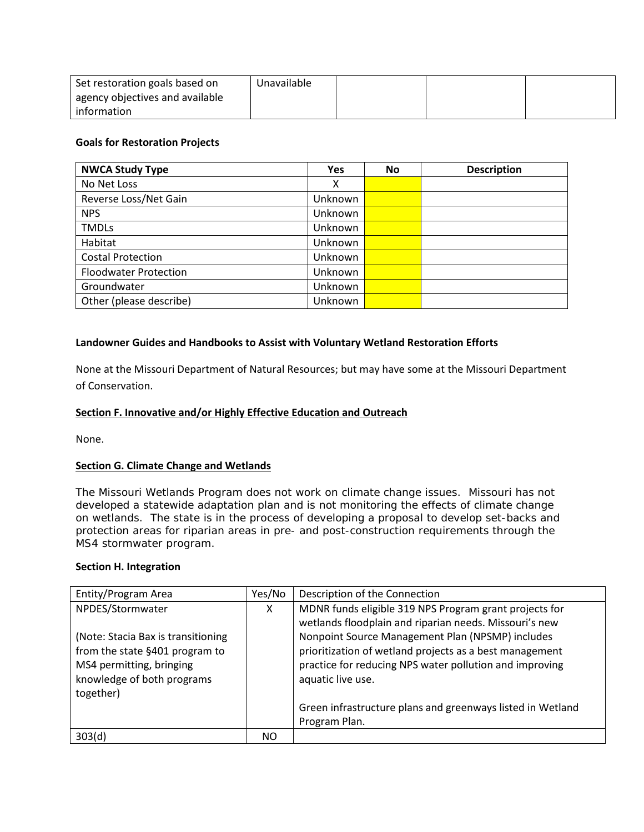| Set restoration goals based on  | Unavailable |  |  |
|---------------------------------|-------------|--|--|
| agency objectives and available |             |  |  |
| information                     |             |  |  |

# **Goals for Restoration Projects**

| <b>NWCA Study Type</b>       | <b>Yes</b> | No | <b>Description</b> |
|------------------------------|------------|----|--------------------|
| No Net Loss                  | χ          |    |                    |
| Reverse Loss/Net Gain        | Unknown    |    |                    |
| <b>NPS</b>                   | Unknown    |    |                    |
| <b>TMDLs</b>                 | Unknown    |    |                    |
| Habitat                      | Unknown    |    |                    |
| <b>Costal Protection</b>     | Unknown    |    |                    |
| <b>Floodwater Protection</b> | Unknown    |    |                    |
| Groundwater                  | Unknown    |    |                    |
| Other (please describe)      | Unknown    |    |                    |

### **Landowner Guides and Handbooks to Assist with Voluntary Wetland Restoration Efforts**

None at the Missouri Department of Natural Resources; but may have some at the Missouri Department of Conservation.

#### <span id="page-8-0"></span>**Section F. Innovative and/or Highly Effective Education and Outreach**

None.

#### **Section G. Climate Change and Wetlands**

The Missouri Wetlands Program does not work on climate change issues. Missouri has not developed a statewide adaptation plan and is not monitoring the effects of climate change on wetlands. The state is in the process of developing a proposal to develop set-backs and protection areas for riparian areas in pre- and post-construction requirements through the MS4 stormwater program.

# <span id="page-8-1"></span>**Section H. Integration**

| Entity/Program Area                                                                                                                                             | Yes/No | Description of the Connection                                                                                                                                                                                                                                                                                   |
|-----------------------------------------------------------------------------------------------------------------------------------------------------------------|--------|-----------------------------------------------------------------------------------------------------------------------------------------------------------------------------------------------------------------------------------------------------------------------------------------------------------------|
| NPDES/Stormwater<br>(Note: Stacia Bax is transitioning<br>from the state §401 program to<br>MS4 permitting, bringing<br>knowledge of both programs<br>together) | X      | MDNR funds eligible 319 NPS Program grant projects for<br>wetlands floodplain and riparian needs. Missouri's new<br>Nonpoint Source Management Plan (NPSMP) includes<br>prioritization of wetland projects as a best management<br>practice for reducing NPS water pollution and improving<br>aquatic live use. |
|                                                                                                                                                                 |        | Green infrastructure plans and greenways listed in Wetland<br>Program Plan.                                                                                                                                                                                                                                     |
| 303(d)                                                                                                                                                          | NO.    |                                                                                                                                                                                                                                                                                                                 |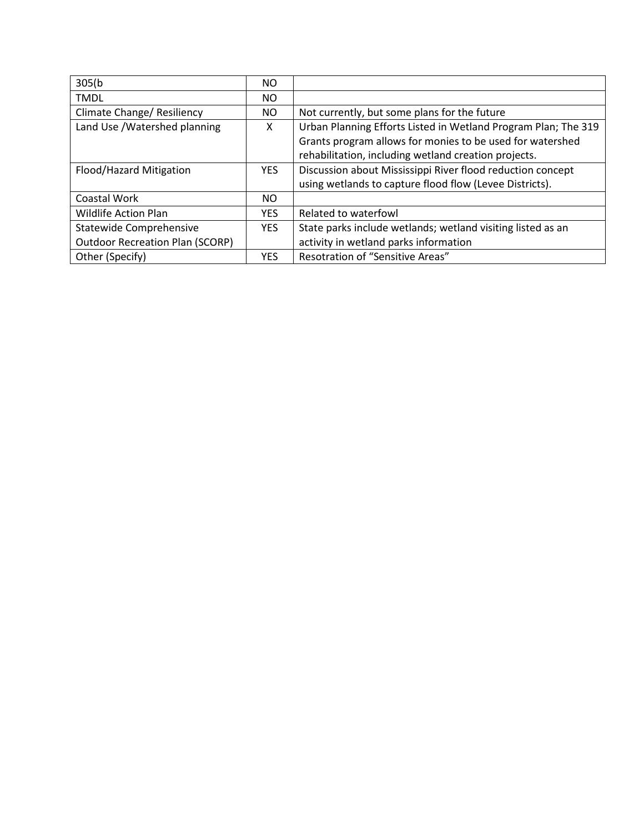| 305(b)                                 | NO.        |                                                                |
|----------------------------------------|------------|----------------------------------------------------------------|
| <b>TMDL</b>                            | NO.        |                                                                |
| Climate Change/ Resiliency             | NO.        | Not currently, but some plans for the future                   |
| Land Use / Watershed planning          | X          | Urban Planning Efforts Listed in Wetland Program Plan; The 319 |
|                                        |            | Grants program allows for monies to be used for watershed      |
|                                        |            | rehabilitation, including wetland creation projects.           |
| Flood/Hazard Mitigation                | <b>YES</b> | Discussion about Mississippi River flood reduction concept     |
|                                        |            | using wetlands to capture flood flow (Levee Districts).        |
| Coastal Work                           | NO.        |                                                                |
| <b>Wildlife Action Plan</b>            | <b>YES</b> | Related to waterfowl                                           |
| Statewide Comprehensive                | <b>YES</b> | State parks include wetlands; wetland visiting listed as an    |
| <b>Outdoor Recreation Plan (SCORP)</b> |            | activity in wetland parks information                          |
| Other (Specify)                        | <b>YES</b> | Resotration of "Sensitive Areas"                               |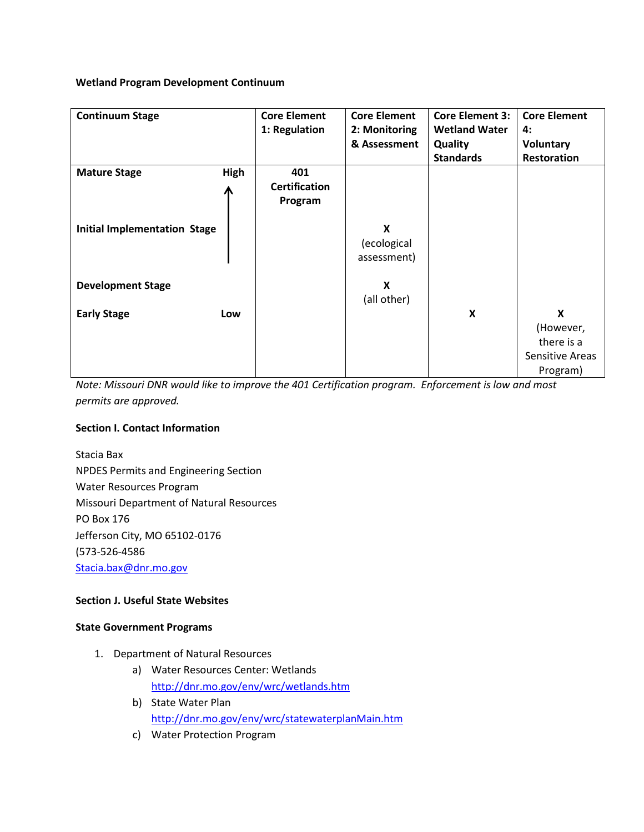# **Wetland Program Development Continuum**

| <b>Continuum Stage</b>              |           | <b>Core Element</b><br>1: Regulation   | <b>Core Element</b><br>2: Monitoring<br>& Assessment | <b>Core Element 3:</b><br><b>Wetland Water</b><br><b>Quality</b> | <b>Core Element</b><br>4:<br><b>Voluntary</b>               |
|-------------------------------------|-----------|----------------------------------------|------------------------------------------------------|------------------------------------------------------------------|-------------------------------------------------------------|
| <b>Mature Stage</b>                 | High<br>Ж | 401<br><b>Certification</b><br>Program |                                                      | <b>Standards</b>                                                 | <b>Restoration</b>                                          |
| <b>Initial Implementation Stage</b> |           |                                        | X<br>(ecological<br>assessment)                      |                                                                  |                                                             |
| <b>Development Stage</b>            |           |                                        | X<br>(all other)                                     |                                                                  |                                                             |
| <b>Early Stage</b>                  | Low       |                                        |                                                      | X                                                                | X<br>(However,<br>there is a<br>Sensitive Areas<br>Program) |

*Note: Missouri DNR would like to improve the 401 Certification program. Enforcement is low and most permits are approved.*

# **Section I. Contact Information**

Stacia Bax NPDES Permits and Engineering Section Water Resources Program Missouri Department of Natural Resources PO Box 176 Jefferson City, MO 65102-0176 (573-526-4586 [Stacia.bax@dnr.mo.gov](mailto:Stacia.bax@dnr.mo.gov)

# **Section J. Useful State Websites**

# **State Government Programs**

- 1. Department of Natural Resources
	- a) Water Resources Center: Wetlands <http://dnr.mo.gov/env/wrc/wetlands.htm>
	- b) State Water Plan <http://dnr.mo.gov/env/wrc/statewaterplanMain.htm>
	- c) Water Protection Program